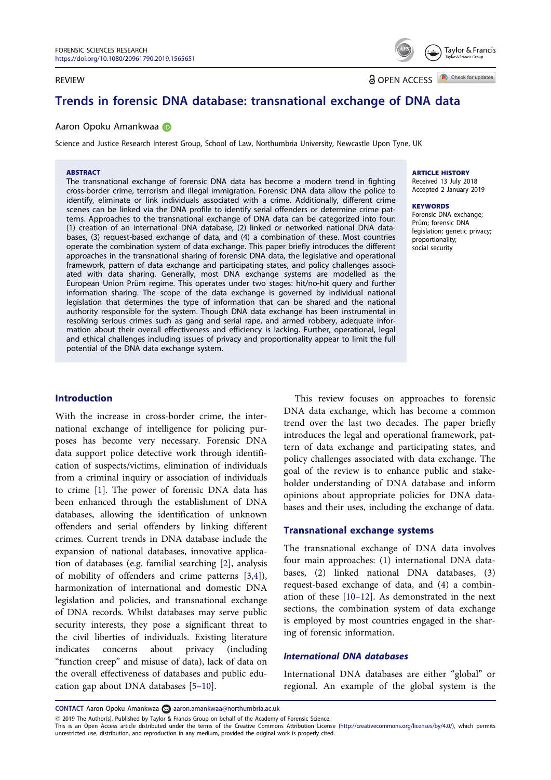#### <span id="page-0-0"></span>REVIEW

**a** OPEN ACCESS **a** Check for updates

Taylor & Francis

# Trends in forensic DNA database: transnational exchange of DNA data

#### Aaron Opoku Amankwaa D

Science and Justice Research Interest Group, School of Law, Northumbria University, Newcastle Upon Tyne, UK

#### **ARSTRACT**

The transnational exchange of forensic DNA data has become a modern trend in fighting cross-border crime, terrorism and illegal immigration. Forensic DNA data allow the police to identify, eliminate or link individuals associated with a crime. Additionally, different crime scenes can be linked via the DNA profile to identify serial offenders or determine crime patterns. Approaches to the transnational exchange of DNA data can be categorized into four: (1) creation of an international DNA database, (2) linked or networked national DNA databases, (3) request-based exchange of data, and (4) a combination of these. Most countries operate the combination system of data exchange. This paper briefly introduces the different approaches in the transnational sharing of forensic DNA data, the legislative and operational framework, pattern of data exchange and participating states, and policy challenges associated with data sharing. Generally, most DNA exchange systems are modelled as the European Union Prüm regime. This operates under two stages: hit/no-hit guery and further information sharing. The scope of the data exchange is governed by individual national legislation that determines the type of information that can be shared and the national authority responsible for the system. Though DNA data exchange has been instrumental in resolving serious crimes such as gang and serial rape, and armed robbery, adequate information about their overall effectiveness and efficiency is lacking. Further, operational, legal and ethical challenges including issues of privacy and proportionality appear to limit the full potential of the DNA data exchange system.

#### ARTICLE HISTORY

Received 13 July 2018 Accepted 2 January 2019

#### **KEYWORDS**

Forensic DNA exchange; Prüm: forensic DNA legislation; genetic privacy; proportionality; social security

### Introduction

With the increase in cross-border crime, the international exchange of intelligence for policing purposes has become very necessary. Forensic DNA data support police detective work through identification of suspects/victims, elimination of individuals from a criminal inquiry or association of individuals to crime [\[1](#page-3-0)]. The power of forensic DNA data has been enhanced through the establishment of DNA databases, allowing the identification of unknown offenders and serial offenders by linking different crimes. Current trends in DNA database include the expansion of national databases, innovative application of databases (e.g. familial searching [\[2](#page-4-0)], analysis of mobility of offenders and crime patterns [[3,4](#page-4-0)]), harmonization of international and domestic DNA legislation and policies, and transnational exchange of DNA records. Whilst databases may serve public security interests, they pose a significant threat to the civil liberties of individuals. Existing literature indicates concerns about privacy (including "function creep" and misuse of data), lack of data on the overall effectiveness of databases and public education gap about DNA databases [5–[10\]](#page-4-0).

This review focuses on approaches to forensic DNA data exchange, which has become a common trend over the last two decades. The paper briefly introduces the legal and operational framework, pattern of data exchange and participating states, and policy challenges associated with data exchange. The goal of the review is to enhance public and stakeholder understanding of DNA database and inform opinions about appropriate policies for DNA databases and their uses, including the exchange of data.

### Transnational exchange systems

The transnational exchange of DNA data involves four main approaches: (1) international DNA databases, (2) linked national DNA databases, (3) request-based exchange of data, and (4) a combination of these [10–[12\]](#page-4-0). As demonstrated in the next sections, the combination system of data exchange is employed by most countries engaged in the sharing of forensic information.

### International DNA databases

International DNA databases are either "global" or regional. An example of the global system is the

CONTACT Aaron Opoku Amankwaa aaron.amankwaa@northumbria.ac.uk

2019 The Author(s). Published by Taylor & Francis Group on behalf of the Academy of Forensic Science.

This is an Open Access article distributed under the terms of the Creative Commons Attribution License ([http://creativecommons.org/licenses/by/4.0/\)](http://creativecommons.org/licenses/by/4.0/), which permits unrestricted use, distribution, and reproduction in any medium, provided the original work is properly cited.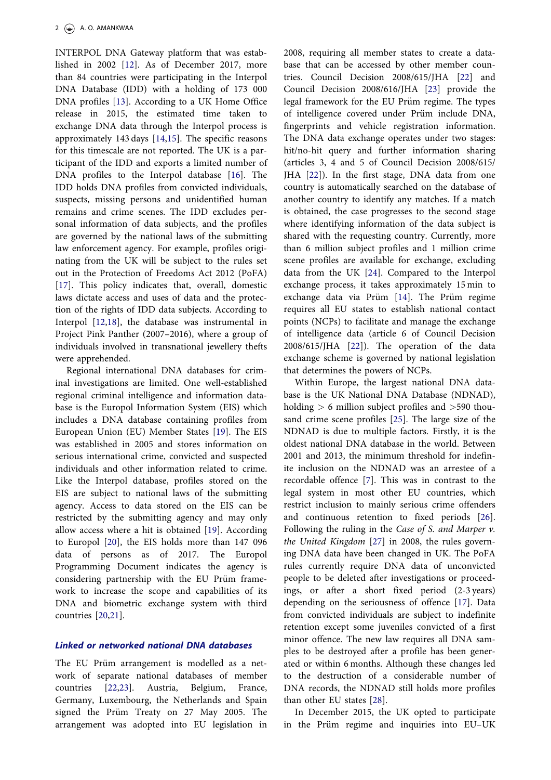<span id="page-1-0"></span>INTERPOL DNA Gateway platform that was established in 2002 [[12](#page-4-0)]. As of December 2017, more than 84 countries were participating in the Interpol DNA Database (IDD) with a holding of 173 000 DNA profiles [\[13](#page-4-0)]. According to a UK Home Office release in 2015, the estimated time taken to exchange DNA data through the Interpol process is approximately 143 days [\[14](#page-4-0),[15\]](#page-4-0). The specific reasons for this timescale are not reported. The UK is a participant of the IDD and exports a limited number of DNA profiles to the Interpol database [[16\]](#page-4-0). The IDD holds DNA profiles from convicted individuals, suspects, missing persons and unidentified human remains and crime scenes. The IDD excludes personal information of data subjects, and the profiles are governed by the national laws of the submitting law enforcement agency. For example, profiles originating from the UK will be subject to the rules set out in the Protection of Freedoms Act 2012 (PoFA) [\[17](#page-4-0)]. This policy indicates that, overall, domestic laws dictate access and uses of data and the protection of the rights of IDD data subjects. According to Interpol [[12,18](#page-4-0)], the database was instrumental in Project Pink Panther (2007–2016), where a group of individuals involved in transnational jewellery thefts were apprehended.

Regional international DNA databases for criminal investigations are limited. One well-established regional criminal intelligence and information database is the Europol Information System (EIS) which includes a DNA database containing profiles from European Union (EU) Member States [\[19](#page-4-0)]. The EIS was established in 2005 and stores information on serious international crime, convicted and suspected individuals and other information related to crime. Like the Interpol database, profiles stored on the EIS are subject to national laws of the submitting agency. Access to data stored on the EIS can be restricted by the submitting agency and may only allow access where a hit is obtained [\[19](#page-4-0)]. According to Europol [[20](#page-4-0)], the EIS holds more than 147 096 data of persons as of 2017. The Europol Programming Document indicates the agency is considering partnership with the EU Prüm framework to increase the scope and capabilities of its DNA and biometric exchange system with third countries [\[20](#page-4-0),[21\]](#page-4-0).

# Linked or networked national DNA databases

The EU Prüm arrangement is modelled as a network of separate national databases of member countries [[22,23](#page-4-0)]. Austria, Belgium, France, Germany, Luxembourg, the Netherlands and Spain signed the Prüm Treaty on 27 May 2005. The arrangement was adopted into EU legislation in

2008, requiring all member states to create a database that can be accessed by other member countries. Council Decision 2008/615/JHA [\[22](#page-4-0)] and Council Decision 2008/616/JHA [\[23\]](#page-4-0) provide the legal framework for the EU Prüm regime. The types of intelligence covered under Prüm include DNA, fingerprints and vehicle registration information. The DNA data exchange operates under two stages: hit/no-hit query and further information sharing (articles 3, 4 and 5 of Council Decision 2008/615/ JHA [\[22](#page-4-0)]). In the first stage, DNA data from one country is automatically searched on the database of another country to identify any matches. If a match is obtained, the case progresses to the second stage where identifying information of the data subject is shared with the requesting country. Currently, more than 6 million subject profiles and 1 million crime scene profiles are available for exchange, excluding data from the UK [[24\]](#page-4-0). Compared to the Interpol exchange process, it takes approximately 15 min to exchange data via Prüm [[14](#page-4-0)]. The Prüm regime requires all EU states to establish national contact points (NCPs) to facilitate and manage the exchange of intelligence data (article 6 of Council Decision 2008/615/JHA [\[22](#page-4-0)]). The operation of the data exchange scheme is governed by national legislation that determines the powers of NCPs.

Within Europe, the largest national DNA database is the UK National DNA Database (NDNAD), holding > 6 million subject profiles and >590 thousand crime scene profiles [[25](#page-4-0)]. The large size of the NDNAD is due to multiple factors. Firstly, it is the oldest national DNA database in the world. Between 2001 and 2013, the minimum threshold for indefinite inclusion on the NDNAD was an arrestee of a recordable offence [\[7\]](#page-4-0). This was in contrast to the legal system in most other EU countries, which restrict inclusion to mainly serious crime offenders and continuous retention to fixed periods [\[26](#page-4-0)]. Following the ruling in the Case of S. and Marper v. the United Kingdom [[27\]](#page-4-0) in 2008, the rules governing DNA data have been changed in UK. The PoFA rules currently require DNA data of unconvicted people to be deleted after investigations or proceedings, or after a short fixed period (2-3 years) depending on the seriousness of offence [[17\]](#page-4-0). Data from convicted individuals are subject to indefinite retention except some juveniles convicted of a first minor offence. The new law requires all DNA samples to be destroyed after a profile has been generated or within 6 months. Although these changes led to the destruction of a considerable number of DNA records, the NDNAD still holds more profiles than other EU states [[28\]](#page-4-0).

In December 2015, the UK opted to participate in the Prüm regime and inquiries into EU-UK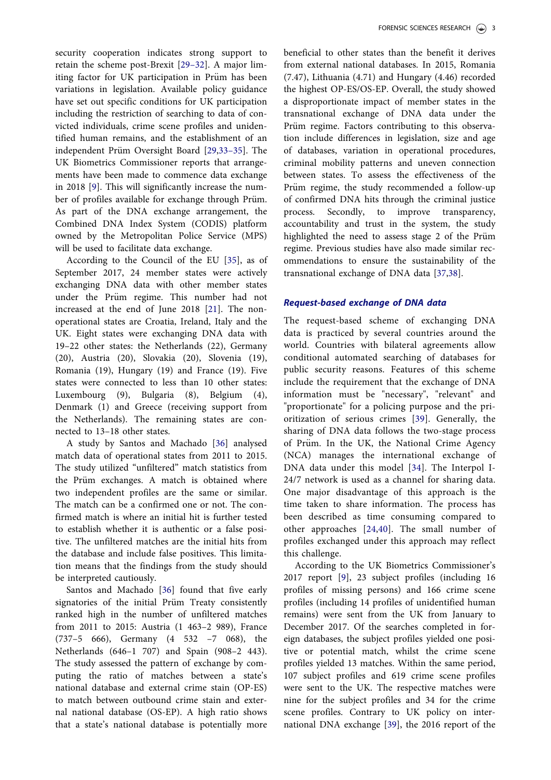<span id="page-2-0"></span>security cooperation indicates strong support to retain the scheme post-Brexit [\[29](#page-4-0)–32]. A major limiting factor for UK participation in Prüm has been variations in legislation. Available policy guidance have set out specific conditions for UK participation including the restriction of searching to data of convicted individuals, crime scene profiles and unidentified human remains, and the establishment of an independent Prüm Oversight Board [[29,33](#page-4-0)-35]. The UK Biometrics Commissioner reports that arrangements have been made to commence data exchange in 2018 [\[9](#page-4-0)]. This will significantly increase the number of profiles available for exchange through Prüm. As part of the DNA exchange arrangement, the Combined DNA Index System (CODIS) platform owned by the Metropolitan Police Service (MPS) will be used to facilitate data exchange.

According to the Council of the EU [[35\]](#page-4-0), as of September 2017, 24 member states were actively exchanging DNA data with other member states under the Prüm regime. This number had not increased at the end of June 2018 [[21\]](#page-4-0). The nonoperational states are Croatia, Ireland, Italy and the UK. Eight states were exchanging DNA data with 19–22 other states: the Netherlands (22), Germany (20), Austria (20), Slovakia (20), Slovenia (19), Romania (19), Hungary (19) and France (19). Five states were connected to less than 10 other states: Luxembourg (9), Bulgaria (8), Belgium (4), Denmark (1) and Greece (receiving support from the Netherlands). The remaining states are connected to 13–18 other states.

A study by Santos and Machado [\[36](#page-5-0)] analysed match data of operational states from 2011 to 2015. The study utilized "unfiltered" match statistics from the Prüm exchanges. A match is obtained where two independent profiles are the same or similar. The match can be a confirmed one or not. The confirmed match is where an initial hit is further tested to establish whether it is authentic or a false positive. The unfiltered matches are the initial hits from the database and include false positives. This limitation means that the findings from the study should be interpreted cautiously.

Santos and Machado [\[36](#page-5-0)] found that five early signatories of the initial Prüm Treaty consistently ranked high in the number of unfiltered matches from 2011 to 2015: Austria (1 463–2 989), France (737–5 666), Germany (4 532 –7 068), the Netherlands (646–1 707) and Spain (908–2 443). The study assessed the pattern of exchange by computing the ratio of matches between a state's national database and external crime stain (OP-ES) to match between outbound crime stain and external national database (OS-EP). A high ratio shows that a state's national database is potentially more beneficial to other states than the benefit it derives from external national databases. In 2015, Romania (7.47), Lithuania (4.71) and Hungary (4.46) recorded the highest OP-ES/OS-EP. Overall, the study showed a disproportionate impact of member states in the transnational exchange of DNA data under the Prüm regime. Factors contributing to this observation include differences in legislation, size and age of databases, variation in operational procedures, criminal mobility patterns and uneven connection between states. To assess the effectiveness of the Prüm regime, the study recommended a follow-up of confirmed DNA hits through the criminal justice process. Secondly, to improve transparency, accountability and trust in the system, the study highlighted the need to assess stage 2 of the Prüm regime. Previous studies have also made similar recommendations to ensure the sustainability of the transnational exchange of DNA data [\[37](#page-5-0),[38\]](#page-5-0).

### Request-based exchange of DNA data

The request-based scheme of exchanging DNA data is practiced by several countries around the world. Countries with bilateral agreements allow conditional automated searching of databases for public security reasons. Features of this scheme include the requirement that the exchange of DNA information must be "necessary", "relevant" and "proportionate" for a policing purpose and the prioritization of serious crimes [[39\]](#page-5-0). Generally, the sharing of DNA data follows the two-stage process of Prüm. In the UK, the National Crime Agency (NCA) manages the international exchange of DNA data under this model [[34](#page-4-0)]. The Interpol I-24/7 network is used as a channel for sharing data. One major disadvantage of this approach is the time taken to share information. The process has been described as time consuming compared to other approaches [[24](#page-4-0),[40](#page-5-0)]. The small number of profiles exchanged under this approach may reflect this challenge.

According to the UK Biometrics Commissioner's 2017 report [[9\]](#page-4-0), 23 subject profiles (including 16 profiles of missing persons) and 166 crime scene profiles (including 14 profiles of unidentified human remains) were sent from the UK from January to December 2017. Of the searches completed in foreign databases, the subject profiles yielded one positive or potential match, whilst the crime scene profiles yielded 13 matches. Within the same period, 107 subject profiles and 619 crime scene profiles were sent to the UK. The respective matches were nine for the subject profiles and 34 for the crime scene profiles. Contrary to UK policy on international DNA exchange [[39\]](#page-5-0), the 2016 report of the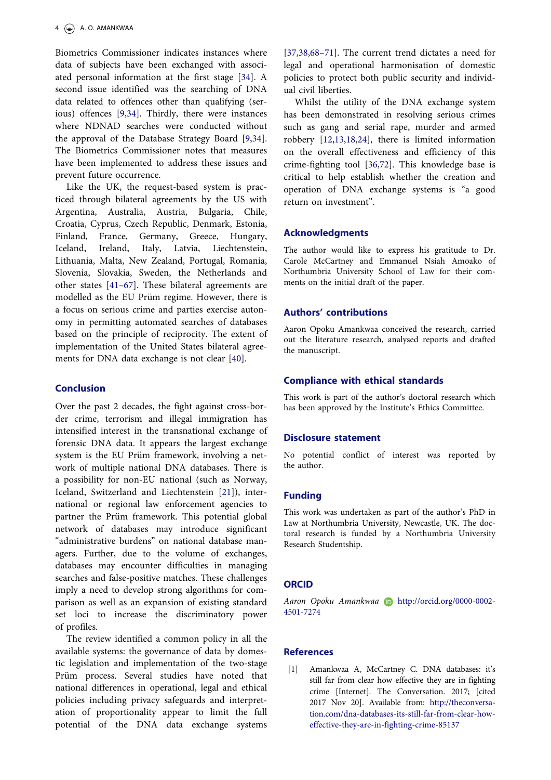<span id="page-3-0"></span>Biometrics Commissioner indicates instances where data of subjects have been exchanged with associated personal information at the first stage [[34\]](#page-4-0). A second issue identified was the searching of DNA data related to offences other than qualifying (serious) offences [[9,34](#page-4-0)]. Thirdly, there were instances where NDNAD searches were conducted without the approval of the Database Strategy Board [\[9](#page-4-0),[34\]](#page-4-0). The Biometrics Commissioner notes that measures have been implemented to address these issues and prevent future occurrence.

Like the UK, the request-based system is practiced through bilateral agreements by the US with Argentina, Australia, Austria, Bulgaria, Chile, Croatia, Cyprus, Czech Republic, Denmark, Estonia, Finland, France, Germany, Greece, Hungary, Iceland, Ireland, Italy, Latvia, Liechtenstein, Lithuania, Malta, New Zealand, Portugal, Romania, Slovenia, Slovakia, Sweden, the Netherlands and other states [\[41](#page-5-0)–67]. These bilateral agreements are modelled as the EU Prüm regime. However, there is a focus on serious crime and parties exercise autonomy in permitting automated searches of databases based on the principle of reciprocity. The extent of implementation of the United States bilateral agreements for DNA data exchange is not clear [[40\]](#page-5-0).

## Conclusion

Over the past 2 decades, the fight against cross-border crime, terrorism and illegal immigration has intensified interest in the transnational exchange of forensic DNA data. It appears the largest exchange system is the EU Prüm framework, involving a network of multiple national DNA databases. There is a possibility for non-EU national (such as Norway, Iceland, Switzerland and Liechtenstein [[21\]](#page-4-0)), international or regional law enforcement agencies to partner the Prüm framework. This potential global network of databases may introduce significant "administrative burdens" on national database managers. Further, due to the volume of exchanges, databases may encounter difficulties in managing searches and false-positive matches. These challenges imply a need to develop strong algorithms for comparison as well as an expansion of existing standard set loci to increase the discriminatory power of profiles.

The review identified a common policy in all the available systems: the governance of data by domestic legislation and implementation of the two-stage Prüm process. Several studies have noted that national differences in operational, legal and ethical policies including privacy safeguards and interpretation of proportionality appear to limit the full potential of the DNA data exchange systems [\[37](#page-5-0),[38,](#page-5-0)68–[71\]](#page-5-0). The current trend dictates a need for legal and operational harmonisation of domestic policies to protect both public security and individual civil liberties.

Whilst the utility of the DNA exchange system has been demonstrated in resolving serious crimes such as gang and serial rape, murder and armed robbery [\[12](#page-4-0),[13,18](#page-4-0),[24\]](#page-4-0), there is limited information on the overall effectiveness and efficiency of this crime-fighting tool [[36](#page-5-0)[,72](#page-6-0)]. This knowledge base is critical to help establish whether the creation and operation of DNA exchange systems is "a good return on investment".

#### Acknowledgments

The author would like to express his gratitude to Dr. Carole McCartney and Emmanuel Nsiah Amoako of Northumbria University School of Law for their comments on the initial draft of the paper.

#### Authors' contributions

Aaron Opoku Amankwaa conceived the research, carried out the literature research, analysed reports and drafted the manuscript.

#### Compliance with ethical standards

This work is part of the author's doctoral research which has been approved by the Institute's Ethics Committee.

#### Disclosure statement

No potential conflict of interest was reported by the author.

# Funding

This work was undertaken as part of the author's PhD in Law at Northumbria University, Newcastle, UK. The doctoral research is funded by a Northumbria University Research Studentship.

### **ORCID**

Aaron Opoku Amankwaa (b http://orcid.org/0000-0002-4501-7274

### **References**

[\[1\] A](#page-0-0)mankwaa A, McCartney C. DNA databases: it's still far from clear how effective they are in fighting crime [Internet]. The Conversation. 2017; [cited 2017 Nov 20]. Available from: [http://theconversa](http://theconversation.com/dna-databases-its-still-far-from-clear-how-effective-they-are-in-fighting-crime-85137)[tion.com/dna-databases-its-still-far-from-clear-how](http://theconversation.com/dna-databases-its-still-far-from-clear-how-effective-they-are-in-fighting-crime-85137)[effective-they-are-in-fighting-crime-85137](http://theconversation.com/dna-databases-its-still-far-from-clear-how-effective-they-are-in-fighting-crime-85137)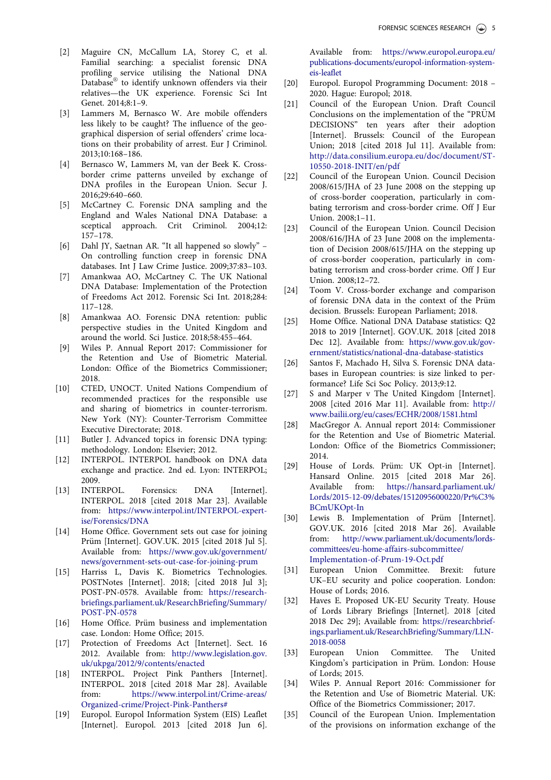- <span id="page-4-0"></span>[\[2\] M](#page-0-0)aguire CN, McCallum LA, Storey C, et al. Familial searching: a specialist forensic DNA profiling service utilising the National DNA Database® to identify unknown offenders via their relatives—the UK experience. Forensic Sci Int Genet. 2014;8:1–9.
- [\[3\] L](#page-0-0)ammers M, Bernasco W. Are mobile offenders less likely to be caught? The influence of the geographical dispersion of serial offenders' crime locations on their probability of arrest. Eur J Criminol. 2013;10:168–186.
- [\[4\] B](#page-0-0)ernasco W, Lammers M, van der Beek K. Crossborder crime patterns unveiled by exchange of DNA profiles in the European Union. Secur J. 2016;29:640–660.
- [\[5\] M](#page-0-0)cCartney C. Forensic DNA sampling and the England and Wales National DNA Database: a sceptical approach. Crit Criminol. 2004;12: 157–178.
- [6] Dahl JY, Saetnan AR. "It all happened so slowly" On controlling function creep in forensic DNA databases. Int J Law Crime Justice. 2009;37:83–103.
- [\[7\] A](#page-1-0)mankwaa AO, McCartney C. The UK National DNA Database: Implementation of the Protection of Freedoms Act 2012. Forensic Sci Int. 2018;284: 117–128.
- [8] Amankwaa AO. Forensic DNA retention: public perspective studies in the United Kingdom and around the world. Sci Justice. 2018;58:455–464.
- [\[9\] W](#page-2-0)iles P. Annual Report 2017: Commissioner for the Retention and Use of Biometric Material. London: Office of the Biometrics Commissioner; 2018.
- [\[10\] C](#page-0-0)TED, UNOCT. United Nations Compendium of recommended practices for the responsible use and sharing of biometrics in counter-terrorism. New York (NY): Counter-Terrorism Committee Executive Directorate; 2018.
- [11] Butler J. Advanced topics in forensic DNA typing: methodology. London: Elsevier; 2012.
- [\[12\] I](#page-1-0)NTERPOL. INTERPOL handbook on DNA data exchange and practice. 2nd ed. Lyon: INTERPOL; 2009.
- [\[13\] I](#page-1-0)NTERPOL. Forensics: DNA [Internet]. INTERPOL. 2018 [cited 2018 Mar 23]. Available from: [https://www.interpol.int/INTERPOL-expert](https://www.interpol.int/INTERPOL-expertise/Forensics/DNA)[ise/Forensics/DNA](https://www.interpol.int/INTERPOL-expertise/Forensics/DNA)
- [\[14\] H](#page-1-0)ome Office. Government sets out case for joining Prüm [Internet]. GOV.UK. 2015 [cited 2018 Jul 5]. Available from: [https://www.gov.uk/government/](https://www.gov.uk/government/news/government-sets-out-case-for-joining-prum) [news/government-sets-out-case-for-joining-prum](https://www.gov.uk/government/news/government-sets-out-case-for-joining-prum)
- [\[15\] H](#page-1-0)arriss L, Davis K. Biometrics Technologies. POSTNotes [Internet]. 2018; [cited 2018 Jul 3]; POST-PN-0578. Available from: [https://research](https://researchbriefings.parliament.uk/ResearchBriefing/Summary/POST-PN-0578)[briefings.parliament.uk/ResearchBriefing/Summary/](https://researchbriefings.parliament.uk/ResearchBriefing/Summary/POST-PN-0578) [POST-PN-0578](https://researchbriefings.parliament.uk/ResearchBriefing/Summary/POST-PN-0578)
- [\[16\] H](#page-1-0)ome Office. Prüm business and implementation case. London: Home Office; 2015.
- [\[17\] P](#page-1-0)rotection of Freedoms Act [Internet]. Sect. 16 2012. Available from: [http://www.legislation.gov.](http://www.legislation.gov.uk/ukpga/2012/9/contents/enacted) [uk/ukpga/2012/9/contents/enacted](http://www.legislation.gov.uk/ukpga/2012/9/contents/enacted)
- [\[18\] I](#page-1-0)NTERPOL. Project Pink Panthers [Internet]. INTERPOL. 2018 [cited 2018 Mar 28]. Available from: [https://www.interpol.int/Crime-areas/](https://www.interpol.int/Crime-areas/Organized-crime/Project-Pink-Panthers#) [Organized-crime/Project-Pink-Panthers#](https://www.interpol.int/Crime-areas/Organized-crime/Project-Pink-Panthers#)
- [\[19\] E](#page-1-0)uropol. Europol Information System (EIS) Leaflet [Internet]. Europol. 2013 [cited 2018 Jun 6].

Available from: [https://www.europol.europa.eu/](https://www.europol.europa.eu/publications-documents/europol-information-system-eis-leaflet) [publications-documents/europol-information-system](https://www.europol.europa.eu/publications-documents/europol-information-system-eis-leaflet)[eis-leaflet](https://www.europol.europa.eu/publications-documents/europol-information-system-eis-leaflet)

- [\[20\] E](#page-1-0)uropol. Europol Programming Document: 2018 2020. Hague: Europol; 2018.
- [\[21\] C](#page-1-0)ouncil of the European Union. Draft Council Conclusions on the implementation of the "PRUM DECISIONS" ten years after their adoption [Internet]. Brussels: Council of the European Union; 2018 [cited 2018 Jul 11]. Available from: [http://data.consilium.europa.eu/doc/document/ST-](http://data.consilium.europa.eu/doc/document/ST-10550-2018-INIT/en/pdf)[10550-2018-INIT/en/pdf](http://data.consilium.europa.eu/doc/document/ST-10550-2018-INIT/en/pdf)
- [\[22\] C](#page-1-0)ouncil of the European Union. Council Decision 2008/615/JHA of 23 June 2008 on the stepping up of cross-border cooperation, particularly in combating terrorism and cross-border crime. Off J Eur Union. 2008;1–11.
- [\[23\] C](#page-1-0)ouncil of the European Union. Council Decision 2008/616/JHA of 23 June 2008 on the implementation of Decision 2008/615/JHA on the stepping up of cross-border cooperation, particularly in combating terrorism and cross-border crime. Off J Eur Union. 2008;12–72.
- [\[24\] T](#page-1-0)oom V. Cross-border exchange and comparison of forensic DNA data in the context of the Prüm decision. Brussels: European Parliament; 2018.
- [\[25\] H](#page-1-0)ome Office. National DNA Database statistics: Q2 2018 to 2019 [Internet]. GOV.UK. 2018 [cited 2018 Dec 12]. Available from: [https://www.gov.uk/gov](https://www.gov.uk/government/statistics/national-dna-database-statistics)[ernment/statistics/national-dna-database-statistics](https://www.gov.uk/government/statistics/national-dna-database-statistics)
- [\[26\] S](#page-1-0)antos F, Machado H, Silva S. Forensic DNA databases in European countries: is size linked to performance? Life Sci Soc Policy. 2013;9:12.
- [\[27\] S](#page-1-0) and Marper v The United Kingdom [Internet]. 2008 [cited 2016 Mar 11]. Available from: [http://](http://www.bailii.org/eu/cases/ECHR/2008/1581.html) [www.bailii.org/eu/cases/ECHR/2008/1581.html](http://www.bailii.org/eu/cases/ECHR/2008/1581.html)
- [\[28\] M](#page-1-0)acGregor A. Annual report 2014: Commissioner for the Retention and Use of Biometric Material. London: Office of the Biometrics Commissioner; 2014.
- [\[29\] H](#page-2-0)ouse of Lords. Prüm: UK Opt-in [Internet]. Hansard Online. 2015 [cited 2018 Mar 26]. Available from: [https://hansard.parliament.uk/](https://hansard.parliament.uk/Lords/2015-12-09/debates/15120956000220/Pr%C3%BCmUKOpt-In) [Lords/2015-12-09/debates/15120956000220/Pr%C3%](https://hansard.parliament.uk/Lords/2015-12-09/debates/15120956000220/Pr%C3%BCmUKOpt-In) [BCmUKOpt-In](https://hansard.parliament.uk/Lords/2015-12-09/debates/15120956000220/Pr%C3%BCmUKOpt-In)
- [30] Lewis B. Implementation of Prüm [Internet]. GOV.UK. 2016 [cited 2018 Mar 26]. Available from: [http://www.parliament.uk/documents/lords](http://www.parliament.uk/documents/lords-committees/eu-home-affairs-subcommittee/Implementation-of-Prum-19-Oct.pdf)[committees/eu-home-affairs-subcommittee/](http://www.parliament.uk/documents/lords-committees/eu-home-affairs-subcommittee/Implementation-of-Prum-19-Oct.pdf) [Implementation-of-Prum-19-Oct.pdf](http://www.parliament.uk/documents/lords-committees/eu-home-affairs-subcommittee/Implementation-of-Prum-19-Oct.pdf)
- [31] European Union Committee. Brexit: future UK–EU security and police cooperation. London: House of Lords; 2016.
- [32] Haves E. Proposed UK-EU Security Treaty. House of Lords Library Briefings [Internet]. 2018 [cited 2018 Dec 29]; Available from: [https://researchbrief](https://researchbriefings.parliament.uk/ResearchBriefing/Summary/LLN-2018-0058)[ings.parliament.uk/ResearchBriefing/Summary/LLN-](https://researchbriefings.parliament.uk/ResearchBriefing/Summary/LLN-2018-0058)[2018-0058](https://researchbriefings.parliament.uk/ResearchBriefing/Summary/LLN-2018-0058)
- [\[33\] E](#page-2-0)uropean Union Committee. The United Kingdom's participation in Prüm. London: House of Lords; 2015.
- [\[34\] W](#page-2-0)iles P. Annual Report 2016: Commissioner for the Retention and Use of Biometric Material. UK: Office of the Biometrics Commissioner; 2017.
- [\[35\] C](#page-2-0)ouncil of the European Union. Implementation of the provisions on information exchange of the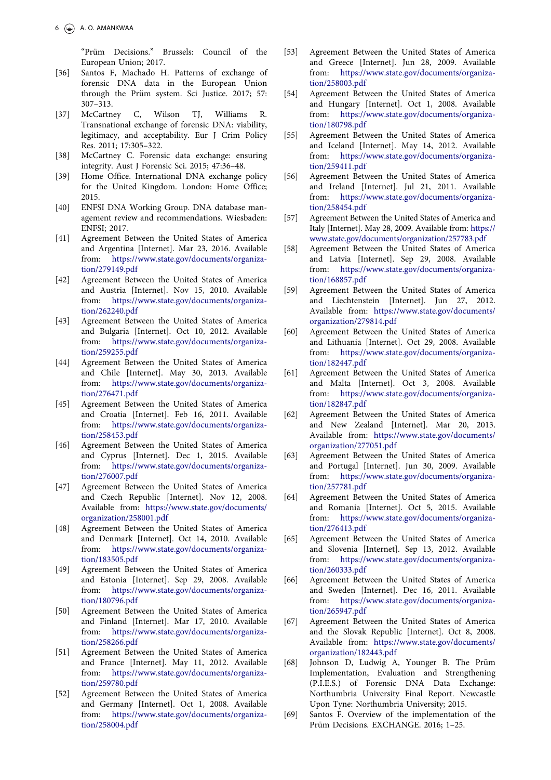"Prüm Decisions." Brussels: Council of the European Union; 2017.

- <span id="page-5-0"></span>[\[36\] S](#page-2-0)antos F, Machado H. Patterns of exchange of forensic DNA data in the European Union through the Prüm system. Sci Justice. 2017; 57: 307–313.
- [\[37\] M](#page-2-0)cCartney C, Wilson TJ, Williams R. Transnational exchange of forensic DNA: viability, legitimacy, and acceptability. Eur J Crim Policy Res. 2011; 17:305–322.
- [\[38\] M](#page-2-0)cCartney C. Forensic data exchange: ensuring integrity. Aust J Forensic Sci. 2015; 47:36–48.
- [\[39\] H](#page-2-0)ome Office. International DNA exchange policy for the United Kingdom. London: Home Office; 2015.
- [\[40\] E](#page-2-0)NFSI DNA Working Group. DNA database management review and recommendations. Wiesbaden: ENFSI; 2017.
- [\[41\] A](#page-3-0)greement Between the United States of America and Argentina [Internet]. Mar 23, 2016. Available from: [https://www.state.gov/documents/organiza](https://www.state.gov/documents/organization/279149.pdf)[tion/279149.pdf](https://www.state.gov/documents/organization/279149.pdf)
- [42] Agreement Between the United States of America and Austria [Internet]. Nov 15, 2010. Available from: [https://www.state.gov/documents/organiza](https://www.state.gov/documents/organization/262240.pdf)[tion/262240.pdf](https://www.state.gov/documents/organization/262240.pdf)
- [43] Agreement Between the United States of America and Bulgaria [Internet]. Oct 10, 2012. Available from: [https://www.state.gov/documents/organiza](https://www.state.gov/documents/organization/259255.pdf)[tion/259255.pdf](https://www.state.gov/documents/organization/259255.pdf)
- [44] Agreement Between the United States of America and Chile [Internet]. May 30, 2013. Available from: [https://www.state.gov/documents/organiza](https://www.state.gov/documents/organization/276471.pdf)[tion/276471.pdf](https://www.state.gov/documents/organization/276471.pdf)
- [45] Agreement Between the United States of America and Croatia [Internet]. Feb 16, 2011. Available from: [https://www.state.gov/documents/organiza](https://www.state.gov/documents/organization/258453.pdf)[tion/258453.pdf](https://www.state.gov/documents/organization/258453.pdf)
- [46] Agreement Between the United States of America and Cyprus [Internet]. Dec 1, 2015. Available from: [https://www.state.gov/documents/organiza](https://www.state.gov/documents/organization/276007.pdf)[tion/276007.pdf](https://www.state.gov/documents/organization/276007.pdf)
- [47] Agreement Between the United States of America and Czech Republic [Internet]. Nov 12, 2008. Available from: [https://www.state.gov/documents/](https://www.state.gov/documents/organization/258001.pdf) [organization/258001.pdf](https://www.state.gov/documents/organization/258001.pdf)
- [48] Agreement Between the United States of America and Denmark [Internet]. Oct 14, 2010. Available from: [https://www.state.gov/documents/organiza](https://www.state.gov/documents/organization/183505.pdf)[tion/183505.pdf](https://www.state.gov/documents/organization/183505.pdf)
- [49] Agreement Between the United States of America and Estonia [Internet]. Sep 29, 2008. Available from: [https://www.state.gov/documents/organiza](https://www.state.gov/documents/organization/180796.pdf)[tion/180796.pdf](https://www.state.gov/documents/organization/180796.pdf)
- [50] Agreement Between the United States of America and Finland [Internet]. Mar 17, 2010. Available from: [https://www.state.gov/documents/organiza](https://www.state.gov/documents/organization/258266.pdf)[tion/258266.pdf](https://www.state.gov/documents/organization/258266.pdf)
- [51] Agreement Between the United States of America and France [Internet]. May 11, 2012. Available from: [https://www.state.gov/documents/organiza](https://www.state.gov/documents/organization/259780.pdf)[tion/259780.pdf](https://www.state.gov/documents/organization/259780.pdf)
- [52] Agreement Between the United States of America and Germany [Internet]. Oct 1, 2008. Available from: [https://www.state.gov/documents/organiza](https://www.state.gov/documents/organization/258004.pdf)[tion/258004.pdf](https://www.state.gov/documents/organization/258004.pdf)
- [53] Agreement Between the United States of America and Greece [Internet]. Jun 28, 2009. Available from: [https://www.state.gov/documents/organiza](https://www.state.gov/documents/organization/258003.pdf)[tion/258003.pdf](https://www.state.gov/documents/organization/258003.pdf)
- [54] Agreement Between the United States of America and Hungary [Internet]. Oct 1, 2008. Available from: [https://www.state.gov/documents/organiza](https://www.state.gov/documents/organization/180798.pdf)[tion/180798.pdf](https://www.state.gov/documents/organization/180798.pdf)
- [55] Agreement Between the United States of America and Iceland [Internet]. May 14, 2012. Available from: [https://www.state.gov/documents/organiza](https://www.state.gov/documents/organization/259411.pdf)[tion/259411.pdf](https://www.state.gov/documents/organization/259411.pdf)
- [56] Agreement Between the United States of America and Ireland [Internet]. Jul 21, 2011. Available from: [https://www.state.gov/documents/organiza](https://www.state.gov/documents/organization/258454.pdf)[tion/258454.pdf](https://www.state.gov/documents/organization/258454.pdf)
- [57] Agreement Between the United States of America and Italy [Internet]. May 28, 2009. Available from: [https://](https://www.state.gov/documents/organization/257783.pdf) [www.state.gov/documents/organization/257783.pdf](https://www.state.gov/documents/organization/257783.pdf)
- [58] Agreement Between the United States of America and Latvia [Internet]. Sep 29, 2008. Available from: [https://www.state.gov/documents/organiza](https://www.state.gov/documents/organization/168857.pdf)[tion/168857.pdf](https://www.state.gov/documents/organization/168857.pdf)
- [59] Agreement Between the United States of America and Liechtenstein [Internet]. Jun 27, 2012. Available from: [https://www.state.gov/documents/](https://www.state.gov/documents/organization/279814.pdf) [organization/279814.pdf](https://www.state.gov/documents/organization/279814.pdf)
- [60] Agreement Between the United States of America and Lithuania [Internet]. Oct 29, 2008. Available from: [https://www.state.gov/documents/organiza](https://www.state.gov/documents/organization/182447.pdf)[tion/182447.pdf](https://www.state.gov/documents/organization/182447.pdf)
- [61] Agreement Between the United States of America and Malta [Internet]. Oct 3, 2008. Available from: [https://www.state.gov/documents/organiza](https://www.state.gov/documents/organization/182847.pdf)[tion/182847.pdf](https://www.state.gov/documents/organization/182847.pdf)
- [62] Agreement Between the United States of America and New Zealand [Internet]. Mar 20, 2013. Available from: [https://www.state.gov/documents/](https://www.state.gov/documents/organization/277051.pdf) [organization/277051.pdf](https://www.state.gov/documents/organization/277051.pdf)
- [63] Agreement Between the United States of America and Portugal [Internet]. Jun 30, 2009. Available from: [https://www.state.gov/documents/organiza](https://www.state.gov/documents/organization/257781.pdf)[tion/257781.pdf](https://www.state.gov/documents/organization/257781.pdf)
- [64] Agreement Between the United States of America and Romania [Internet]. Oct 5, 2015. Available from: [https://www.state.gov/documents/organiza](https://www.state.gov/documents/organization/276413.pdf)[tion/276413.pdf](https://www.state.gov/documents/organization/276413.pdf)
- [65] Agreement Between the United States of America and Slovenia [Internet]. Sep 13, 2012. Available from: [https://www.state.gov/documents/organiza](https://www.state.gov/documents/organization/260333.pdf)[tion/260333.pdf](https://www.state.gov/documents/organization/260333.pdf)
- [66] Agreement Between the United States of America and Sweden [Internet]. Dec 16, 2011. Available from: [https://www.state.gov/documents/organiza](https://www.state.gov/documents/organization/265947.pdf)[tion/265947.pdf](https://www.state.gov/documents/organization/265947.pdf)
- [67] Agreement Between the United States of America and the Slovak Republic [Internet]. Oct 8, 2008. Available from: [https://www.state.gov/documents/](https://www.state.gov/documents/organization/182443.pdf) [organization/182443.pdf](https://www.state.gov/documents/organization/182443.pdf)
- [\[68\] J](#page-3-0)ohnson D, Ludwig A, Younger B. The Prüm Implementation, Evaluation and Strengthening (P.I.E.S.) of Forensic DNA Data Exchange: Northumbria University Final Report. Newcastle Upon Tyne: Northumbria University; 2015.
- [69] Santos F. Overview of the implementation of the Prüm Decisions. EXCHANGE. 2016; 1-25.